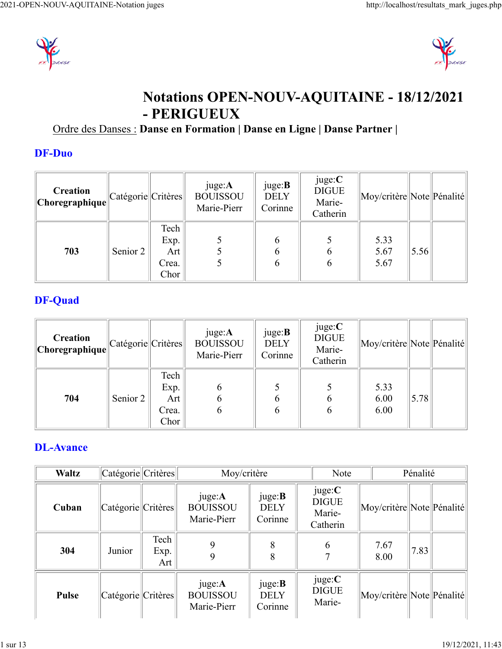



# **Notations OPEN-NOUV-AQUITAINE - 18/12/2021 - PERIGUEUX**

### Ordre des Danses : **Danse en Formation | Danse en Ligne | Danse Partner |**

#### **DF-Duo**

| Creation<br>$\ $ Choregraphique $\ $ | Catégorie  Critères |                                      | juge:A<br><b>BOUISSOU</b><br>Marie-Pierr | juge: <b>B</b><br><b>DELY</b><br>Corinne | juge:C<br><b>DIGUE</b><br>Marie-<br>Catherin | Moy/critère  Note  Pénalité |      |  |
|--------------------------------------|---------------------|--------------------------------------|------------------------------------------|------------------------------------------|----------------------------------------------|-----------------------------|------|--|
| 703                                  | Senior 2            | Tech<br>Exp.<br>Art<br>Crea.<br>Chor |                                          | 6                                        | $\mathfrak b$                                | 5.33<br>5.67<br>5.67        | 5.56 |  |

### **DF-Quad**

| <b>Creation</b><br>$\ $ Choregraphique $\ $ | Catégorie  Critères |                                                           | juge: <b>A</b><br><b>BOUISSOU</b><br>Marie-Pierr | juge: <b>B</b><br><b>DELY</b><br>Corinne | juge:C<br><b>DIGUE</b><br>Marie-<br>Catherin | Moy/critère  Note  Pénalité |      |  |
|---------------------------------------------|---------------------|-----------------------------------------------------------|--------------------------------------------------|------------------------------------------|----------------------------------------------|-----------------------------|------|--|
| 704                                         | Senior 2            | Tech<br>Exp.<br>Art $\vert$<br>Crea.<br>Chor <sup>1</sup> | 6                                                | 6                                        | b<br>b                                       | 5.33<br>6.00<br>6.00        | 5.78 |  |

### **DL-Avance**

| <b>Waltz</b> | Catégorie Critères |                     |                                                  | Moy/critère                              |  | <b>Note</b>                                  |                             | Pénalité |  |
|--------------|--------------------|---------------------|--------------------------------------------------|------------------------------------------|--|----------------------------------------------|-----------------------------|----------|--|
| Cuban        | Catégorie Critères |                     | juge: <b>A</b><br><b>BOUISSOU</b><br>Marie-Pierr | juge:B<br><b>DELY</b><br>Corinne         |  | juge:C<br><b>DIGUE</b><br>Marie-<br>Catherin | Moy/critère  Note  Pénalité |          |  |
| 304          | Junior             | Tech<br>Exp.<br>Art |                                                  | 8<br>δ                                   |  | 6                                            | 7.67<br>8.00                | 7.83     |  |
| <b>Pulse</b> | Catégorie Critères |                     | juge: <b>A</b><br><b>BOUISSOU</b><br>Marie-Pierr | juge: <b>B</b><br><b>DELY</b><br>Corinne |  | juge:C<br><b>DIGUE</b><br>Marie-             | Moy/critère  Note  Pénalité |          |  |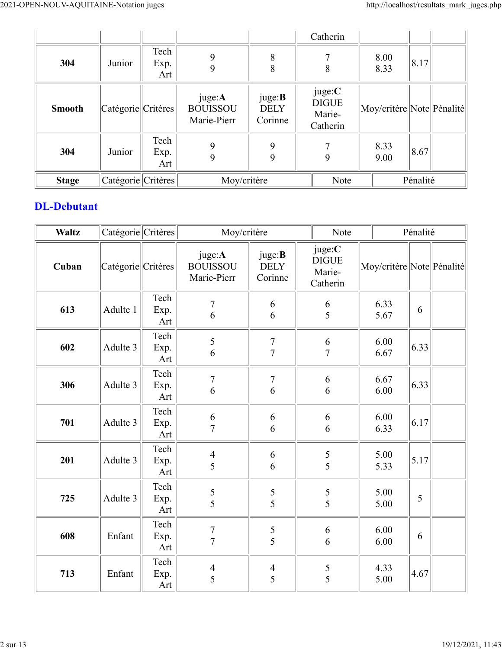|               |                    |                     |                                                  |                                          | Catherin                                     |                             |          |  |
|---------------|--------------------|---------------------|--------------------------------------------------|------------------------------------------|----------------------------------------------|-----------------------------|----------|--|
| 304           | Junior             | Tech<br>Exp.<br>Art | 9                                                | 8<br>8                                   | 7<br>8                                       | 8.00<br>8.33                | 8.17     |  |
| <b>Smooth</b> | Catégorie Critères |                     | juge: <b>A</b><br><b>BOUISSOU</b><br>Marie-Pierr | juge: <b>B</b><br><b>DELY</b><br>Corinne | juge:C<br><b>DIGUE</b><br>Marie-<br>Catherin | Moy/critère  Note  Pénalité |          |  |
| 304           | Junior             | Tech<br>Exp.<br>Art | 9                                                | 9<br>9                                   | 7<br>9                                       | 8.33<br>9.00                | 8.67     |  |
| <b>Stage</b>  | Catégorie Critères |                     | Moy/critère                                      |                                          | Note                                         |                             | Pénalité |  |

#### **DL-Debutant**

| <b>Waltz</b> | $ $ Catégorie $ $ Critères $ $ |                     | Moy/critère                              |                                          | Note                                    | Pénalité                  |      |  |  |
|--------------|--------------------------------|---------------------|------------------------------------------|------------------------------------------|-----------------------------------------|---------------------------|------|--|--|
| Cuban        | Catégorie Critères             |                     | juge:A<br><b>BOUISSOU</b><br>Marie-Pierr | juge: <b>B</b><br><b>DELY</b><br>Corinne | juge:C<br>$DIGUE$<br>Marie-<br>Catherin | Moy/critère Note Pénalité |      |  |  |
| 613          | Adulte 1                       | Tech<br>Exp.<br>Art | $\overline{7}$<br>6                      | 6<br>6                                   | 6<br>$\overline{5}$                     | 6.33<br>5.67              | 6    |  |  |
| 602          | Adulte 3                       | Tech<br>Exp.<br>Art | 5<br>6                                   | $\boldsymbol{7}$<br>$\overline{7}$       | 6<br>$\overline{7}$                     | 6.00<br>6.67              | 6.33 |  |  |
| 306          | Adulte 3                       | Tech<br>Exp.<br>Art | $\boldsymbol{7}$<br>6                    | $\overline{7}$<br>6                      | 6<br>6                                  | 6.67<br>6.00              | 6.33 |  |  |
| 701          | Adulte 3                       | Tech<br>Exp.<br>Art | 6<br>$\overline{7}$                      | 6<br>6                                   | 6<br>6                                  | 6.00<br>6.33              | 6.17 |  |  |
| 201          | Adulte 3                       | Tech<br>Exp.<br>Art | $\overline{4}$<br>5                      | 6<br>6                                   | 5<br>5                                  | 5.00<br>5.33              | 5.17 |  |  |
| 725          | Adulte 3                       | Tech<br>Exp.<br>Art | 5<br>5                                   | $\sqrt{5}$<br>$\overline{5}$             | $\frac{5}{5}$                           | 5.00<br>5.00              | 5    |  |  |
| 608          | Enfant                         | Tech<br>Exp.<br>Art | $\overline{7}$<br>$\overline{7}$         | $\sqrt{5}$<br>5                          | 6<br>6                                  | 6.00<br>6.00              | 6    |  |  |
| 713          | Enfant                         | Tech<br>Exp.<br>Art | $\overline{4}$<br>5                      | $\overline{4}$<br>5                      | $\frac{5}{5}$                           | 4.33<br>5.00              | 4.67 |  |  |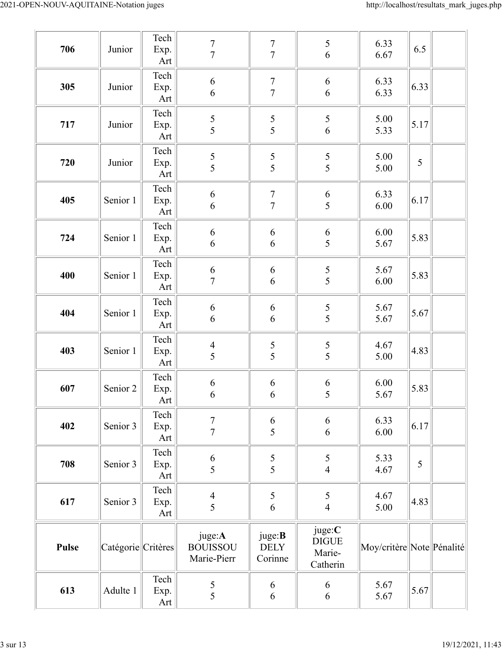| 706          | Junior             | Tech<br>Exp.<br>Art                         | $\boldsymbol{7}$<br>$\tau$               | $\frac{7}{7}$                            | 5<br>$\sqrt{6}$                              | 6.33<br>6.67                | 6.5           |  |
|--------------|--------------------|---------------------------------------------|------------------------------------------|------------------------------------------|----------------------------------------------|-----------------------------|---------------|--|
| 305          | Junior             | Tech<br>Exp.<br>Art                         | $\sqrt{6}$<br>6                          | $\sqrt{ }$<br>$\overline{7}$             | 6<br>6                                       | 6.33<br>6.33                | 6.33          |  |
| 717          | Junior             | Tech<br>Exp.<br>Art                         | $\sqrt{5}$<br>5                          | $rac{5}{5}$                              | 5<br>$\sqrt{6}$                              | 5.00<br>5.33                | 5.17          |  |
| 720          | Junior             | Tech<br>Exp.<br>Art                         | 5<br>5                                   | $\frac{5}{5}$                            | $\frac{5}{5}$                                | 5.00<br>5.00                | $\mathfrak s$ |  |
| 405          | Senior 1           | Tech<br>Exp.<br>Art                         | $\boldsymbol{6}$<br>6                    | $\sqrt{ }$<br>$\overline{7}$             | 6<br>5                                       | 6.33<br>6.00                | 6.17          |  |
| 724          | Senior 1           | Tech<br>Exp.<br>Art                         | 6<br>6                                   | 6<br>6                                   | 6<br>5                                       | 6.00<br>5.67                | 5.83          |  |
| 400          | Senior 1           | Tech<br>Exp.<br>$\mathop{\rm Art}\nolimits$ | $\boldsymbol{6}$<br>$\boldsymbol{7}$     | 6<br>6                                   | $\frac{5}{5}$                                | 5.67<br>6.00                | 5.83          |  |
| 404          | Senior 1           | Tech<br>Exp.<br>Art                         | $\sqrt{6}$<br>6                          | 6<br>6                                   | $\frac{5}{5}$                                | 5.67<br>5.67                | 5.67          |  |
| 403          | Senior 1           | Tech<br>Exp.<br>Art                         | $\overline{4}$<br>5                      | $rac{5}{5}$                              | 5<br>5                                       | 4.67<br>5.00                | 4.83          |  |
| 607          | Senior 2           | Tech<br>Exp.<br>Art                         | 6<br>6                                   | 6<br>6                                   | 6<br>5                                       | $6.00\,$<br>5.67            | 5.83          |  |
| 402          | Senior 3           | Tech<br>Exp.<br>Art                         | $\tau$<br>$\overline{7}$                 | $\begin{array}{c} 6 \\ 5 \end{array}$    | 6<br>6                                       | 6.33<br>6.00                | 6.17          |  |
| 708          | Senior 3           | Tech<br>Exp.<br>Art                         | 6<br>5                                   | $\frac{5}{5}$                            | 5<br>$\overline{\mathbf{4}}$                 | 5.33<br>4.67                | 5             |  |
| 617          | Senior 3           | Tech<br>Exp.<br>Art                         | $\overline{4}$<br>5                      | 5<br>6                                   | $\mathfrak s$<br>$\overline{4}$              | 4.67<br>5.00                | 4.83          |  |
| <b>Pulse</b> | Catégorie Critères |                                             | juge:A<br><b>BOUISSOU</b><br>Marie-Pierr | juge: <b>B</b><br><b>DELY</b><br>Corinne | juge:C<br><b>DIGUE</b><br>Marie-<br>Catherin | Moy/critère  Note  Pénalité |               |  |
| 613          | Adulte 1           | Tech<br>Exp.<br>Art                         | $\mathfrak{S}$<br>5                      | 6<br>6                                   | 6<br>6                                       | 5.67<br>5.67                | 5.67          |  |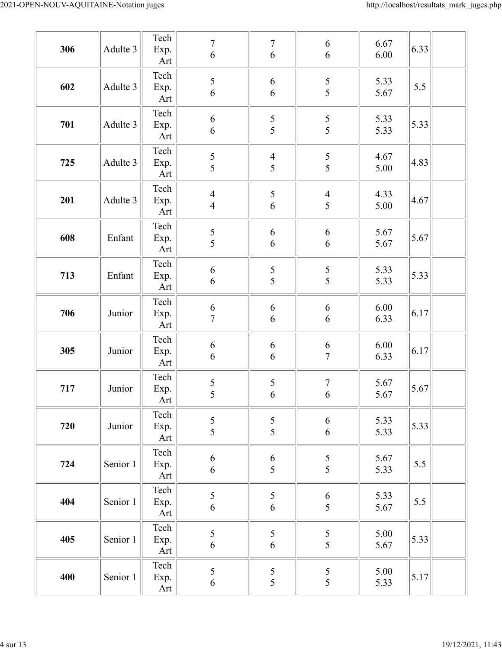| 306 | Adulte 3 | Tech<br>Exp.<br>Art         | $\overline{7}$<br>$\sqrt{6}$         | $\boldsymbol{7}$<br>6 | 6<br>6                                | 6.67<br>6.00 | 6.33 |
|-----|----------|-----------------------------|--------------------------------------|-----------------------|---------------------------------------|--------------|------|
| 602 | Adulte 3 | Tech<br>Exp.<br>Art         | 5<br>6                               | 6<br>6                | $\frac{5}{5}$                         | 5.33<br>5.67 | 5.5  |
| 701 | Adulte 3 | Tech<br>Exp.<br>Art         | $\boldsymbol{6}$<br>$\boldsymbol{6}$ | 5<br>5                | $\frac{5}{5}$                         | 5.33<br>5.33 | 5.33 |
| 725 | Adulte 3 | Tech<br>Exp.<br>Art         | $\frac{5}{5}$                        | $\frac{4}{5}$         | $rac{5}{5}$                           | 4.67<br>5.00 | 4.83 |
| 201 | Adulte 3 | Tech<br>Exp.<br>Art         | $\overline{4}$<br>$\overline{4}$     | 5<br>6                | $\overline{4}$<br>5                   | 4.33<br>5.00 | 4.67 |
| 608 | Enfant   | Tech<br>Exp.<br>Art         | 5<br>5                               | 6<br>6                | $\sqrt{6}$<br>6                       | 5.67<br>5.67 | 5.67 |
| 713 | Enfant   | Tech<br>Exp.<br>Art         | $\sqrt{6}$<br>$\boldsymbol{6}$       | $rac{5}{5}$           | $\frac{5}{5}$                         | 5.33<br>5.33 | 5.33 |
| 706 | Junior   | Tech<br>Exp.<br>Art         | $\boldsymbol{6}$<br>$\overline{7}$   | 6<br>6                | $\sqrt{6}$<br>6                       | 6.00<br>6.33 | 6.17 |
| 305 | Junior   | Tech<br>Exp.<br>Art         | $\sqrt{6}$<br>$\boldsymbol{6}$       | 6<br>6                | 6<br>$\boldsymbol{7}$                 | 6.00<br>6.33 | 6.17 |
| 717 | Junior   | Tech<br>Exp.<br>Art         | $\frac{5}{5}$                        | 5<br>6                | $\boldsymbol{7}$<br>$\sqrt{6}$        | 5.67<br>5.67 | 5.67 |
| 720 | Junior   | Tech<br>Exp.<br>Art         | 5<br>$\overline{5}$                  | 5<br>$\overline{5}$   | $\sqrt{6}$<br>$\sqrt{6}$              | 5.33<br>5.33 | 5.33 |
| 724 | Senior 1 | Tech<br>Exp.<br>Art         | $\boldsymbol{6}$<br>$\sqrt{6}$       | 6<br>5                | 5<br>5                                | 5.67<br>5.33 | 5.5  |
| 404 | Senior 1 | Tech<br>Exp.<br>Art         | 5<br>6                               | 5<br>6                | $\begin{array}{c} 6 \\ 5 \end{array}$ | 5.33<br>5.67 | 5.5  |
| 405 | Senior 1 | Tech<br>Exp.<br>Art         | 5<br>$\sqrt{6}$                      | 5<br>6                | $\frac{5}{5}$                         | 5.00<br>5.67 | 5.33 |
| 400 | Senior 1 | Tech<br>Exp.<br>Art $\vert$ | $\mathfrak s$<br>$\sqrt{6}$          | $\mathfrak{H}$<br>5   | $\mathfrak{S}$<br>5                   | 5.00<br>5.33 | 5.17 |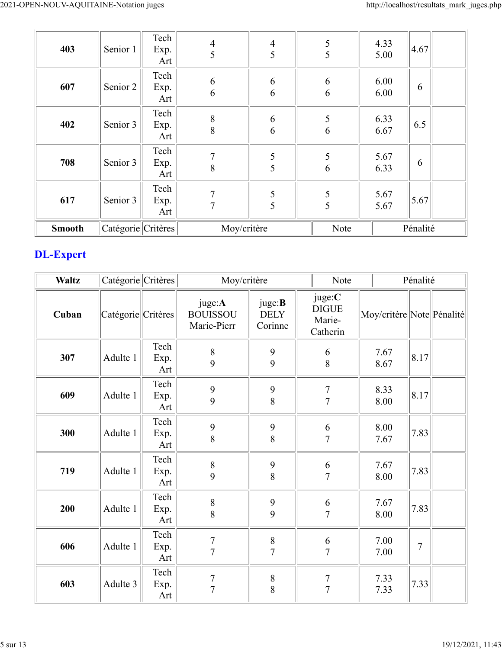| 403           | Senior 1           | Tech<br>Exp.<br>Art $ $       | $\overline{4}$<br>5 | $\overline{4}$<br>5 |  | $\mathfrak{S}$<br>5 | 4.33<br>5.00 | 4.67     |  |
|---------------|--------------------|-------------------------------|---------------------|---------------------|--|---------------------|--------------|----------|--|
| 607           | Senior 2           | Tech<br>Exp.<br>Art $\vert$   | 6<br>6              | 6<br>6              |  | 6<br>6              | 6.00<br>6.00 | 6        |  |
| 402           | Senior 3           | Tech<br>Exp.<br>Art $\vert$   | 8<br>8              | 6<br>6              |  | $\sqrt{5}$<br>6     | 6.33<br>6.67 | 6.5      |  |
| 708           | Senior 3           | Tech  <br>Exp.<br>Art $\vert$ | 7<br>8              | 5<br>5              |  | $\mathfrak{S}$<br>6 | 5.67<br>6.33 | 6        |  |
| 617           | Senior 3           | Tech<br>Exp.<br>Art $\vert$   | $\overline{7}$<br>7 | 5<br>5              |  | $\mathfrak{S}$<br>5 | 5.67<br>5.67 | 5.67     |  |
| <b>Smooth</b> | Catégorie Critères |                               | Moy/critère         |                     |  | Note                |              | Pénalité |  |

## **DL-Expert**

| <b>Waltz</b> | Catégorie Critères |                     | Moy/critère                              |                                          | Note                                         |                           | Pénalité       |  |
|--------------|--------------------|---------------------|------------------------------------------|------------------------------------------|----------------------------------------------|---------------------------|----------------|--|
| Cuban        | Catégorie Critères |                     | juge:A<br><b>BOUISSOU</b><br>Marie-Pierr | juge: <b>B</b><br><b>DELY</b><br>Corinne | juge:C<br><b>DIGUE</b><br>Marie-<br>Catherin | Moy/critère Note Pénalité |                |  |
| 307          | Adulte 1           | Tech<br>Exp.<br>Art | $\,8\,$<br>9                             | $\mathbf{9}$<br>9                        | $\sqrt{6}$<br>8                              | 7.67<br>8.67              | 8.17           |  |
| 609          | Adulte 1           | Tech<br>Exp.<br>Art | 9<br>9                                   | 9<br>8                                   | $\overline{7}$<br>$\overline{7}$             | 8.33<br>8.00              | 8.17           |  |
| 300          | Adulte 1           | Tech<br>Exp.<br>Art | 9<br>8                                   | 9<br>8                                   | 6<br>$\overline{7}$                          | 8.00<br>7.67              | 7.83           |  |
| 719          | Adulte 1           | Tech<br>Exp.<br>Art | 8<br>9                                   | 9<br>8                                   | 6<br>$\overline{7}$                          | 7.67<br>8.00              | 7.83           |  |
| 200          | Adulte 1           | Tech<br>Exp.<br>Art | 8<br>8                                   | $\mathbf{9}$<br>9                        | 6<br>$\overline{7}$                          | 7.67<br>8.00              | 7.83           |  |
| 606          | Adulte 1           | Tech<br>Exp.<br>Art | $\overline{7}$<br>$\overline{7}$         | $\,8\,$<br>$\overline{7}$                | 6<br>$\overline{7}$                          | 7.00<br>7.00              | $\overline{7}$ |  |
| 603          | Adulte 3           | Tech<br>Exp.<br>Art | $\overline{7}$<br>$\overline{7}$         | $\,8\,$<br>8                             | $\overline{7}$<br>$\overline{7}$             | 7.33<br>7.33              | 7.33           |  |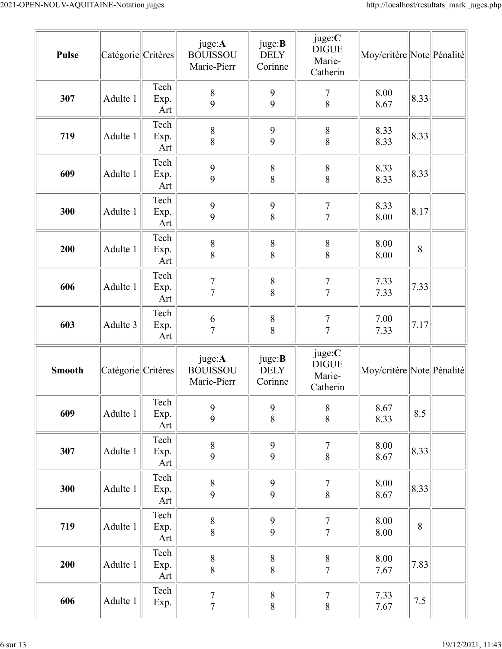| <b>Pulse</b>  | Catégorie Critères |                     | juge:A<br><b>BOUISSOU</b><br>Marie-Pierr | juge: <b>B</b><br><b>DELY</b><br>Corinne | juge:C<br><b>DIGUE</b><br>Marie-<br>Catherin | Moy/critère Note Pénalité |         |  |
|---------------|--------------------|---------------------|------------------------------------------|------------------------------------------|----------------------------------------------|---------------------------|---------|--|
| 307           | Adulte 1           | Tech<br>Exp.<br>Art | $\,$ $\,$<br>9                           | $\boldsymbol{9}$<br>9                    | $\overline{7}$<br>8                          | 8.00<br>8.67              | 8.33    |  |
| 719           | Adulte 1           | Tech<br>Exp.<br>Art | 8<br>8                                   | $\mathbf{9}$<br>9                        | $\,8\,$<br>8                                 | 8.33<br>8.33              | 8.33    |  |
| 609           | Adulte 1           | Tech<br>Exp.<br>Art | 9<br>9                                   | $\, 8$<br>8                              | $\,$ $\,$<br>8                               | 8.33<br>8.33              | 8.33    |  |
| 300           | Adulte 1           | Tech<br>Exp.<br>Art | 9<br>9                                   | $\boldsymbol{9}$<br>8                    | $\boldsymbol{7}$<br>$\overline{7}$           | 8.33<br>8.00              | 8.17    |  |
| 200           | Adulte 1           | Tech<br>Exp.<br>Art | $\,$ $\,$<br>8                           | $\,8\,$<br>8                             | $8\,$<br>8                                   | 8.00<br>8.00              | 8       |  |
| 606           | Adulte 1           | Tech<br>Exp.<br>Art | $\sqrt{ }$<br>$\overline{7}$             | $\, 8$<br>8                              | $\boldsymbol{7}$<br>$\overline{7}$           | 7.33<br>7.33              | 7.33    |  |
| 603           | Adulte 3           | Tech<br>Exp.<br>Art | 6<br>$\overline{7}$                      | $\, 8$<br>8                              | $\overline{7}$<br>$\overline{7}$             | 7.00<br>7.33              | 7.17    |  |
| <b>Smooth</b> | Catégorie Critères |                     | juge:A<br><b>BOUISSOU</b><br>Marie-Pierr | juge: <b>B</b><br><b>DELY</b><br>Corinne | juge:C<br><b>DIGUE</b><br>Marie-<br>Catherin | Moy/critère Note Pénalité |         |  |
| 609           | Adulte 1           | Tech<br>Exp.<br>Art | 9<br>9                                   | $\boldsymbol{9}$<br>$\,8\,$              | $\,$ $\,$<br>$\,8\,$                         | 8.67<br>8.33              | 8.5     |  |
| 307           | Adulte 1           | Tech<br>Exp.<br>Art | 8<br>9                                   | 9<br>9                                   | $\sqrt{ }$<br>8                              | 8.00<br>8.67              | 8.33    |  |
| 300           | Adulte 1           | Tech<br>Exp.<br>Art | $\,$ $\,$<br>9                           | $\mathbf{9}$<br>9                        | $\tau$<br>$\,8\,$                            | $8.00\,$<br>8.67          | 8.33    |  |
| 719           | Adulte 1           | Tech<br>Exp.<br>Art | $\,$ $\,$<br>8                           | 9<br>9                                   | $\overline{7}$<br>$\overline{7}$             | 8.00<br>$8.00\,$          | 8       |  |
| 200           | Adulte 1           | Tech<br>Exp.<br>Art | 8<br>8                                   | $\boldsymbol{8}$<br>$\overline{8}$       | $\begin{array}{c} 8 \\ 7 \end{array}$        | 8.00<br>7.67              | 7.83    |  |
| 606           | Adulte 1           | Tech<br>Exp.        | $\boldsymbol{7}$<br>$\overline{7}$       | $\, 8$<br>$\,8\,$                        | $\boldsymbol{7}$<br>$8\,$                    | 7.33<br>7.67              | $7.5\,$ |  |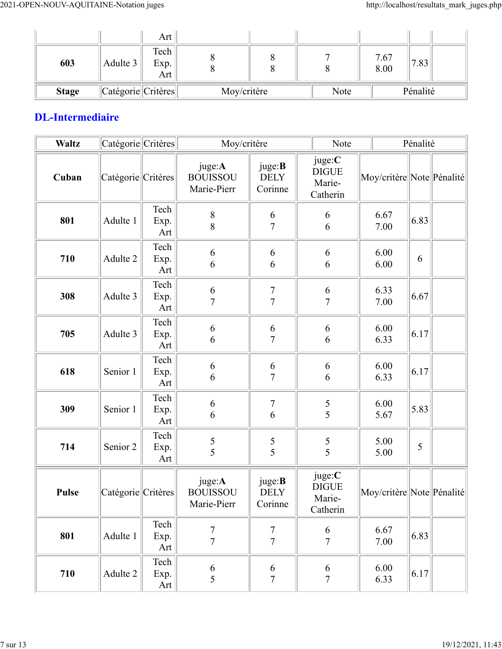|              |                                   | Art                 |             |  |      |              |          |  |
|--------------|-----------------------------------|---------------------|-------------|--|------|--------------|----------|--|
| 603          | Adulte 3                          | Tech<br>Exp.<br>Art |             |  |      | 7.67<br>8.00 | 7.83     |  |
| <b>Stage</b> | $\ $ Catégorie $\ $ Critères $\ $ |                     | Moy/critère |  | Note |              | Pénalité |  |

### **DL-Intermediaire**

| <b>Waltz</b> | Catégorie Critères |                     |                                          | Moy/critère<br>Note                      |                                              |                             | Pénalité |  |
|--------------|--------------------|---------------------|------------------------------------------|------------------------------------------|----------------------------------------------|-----------------------------|----------|--|
| Cuban        | Catégorie Critères |                     | juge:A<br><b>BOUISSOU</b><br>Marie-Pierr | juge: <b>B</b><br><b>DELY</b><br>Corinne | juge:C<br><b>DIGUE</b><br>Marie-<br>Catherin | Moy/critère  Note  Pénalité |          |  |
| 801          | Adulte 1           | Tech<br>Exp.<br>Art | $\,8\,$<br>8                             | 6<br>$\overline{7}$                      | 6<br>6                                       | 6.67<br>7.00                | 6.83     |  |
| 710          | Adulte 2           | Tech<br>Exp.<br>Art | 6<br>6                                   | 6<br>6                                   | 6<br>6                                       | 6.00<br>6.00                | 6        |  |
| 308          | Adulte 3           | Tech<br>Exp.<br>Art | 6<br>$\overline{7}$                      | $\overline{7}$<br>$\overline{7}$         | 6<br>$\overline{7}$                          | 6.33<br>7.00                | 6.67     |  |
| 705          | Adulte 3           | Tech<br>Exp.<br>Art | 6<br>6                                   | 6<br>$\overline{7}$                      | 6<br>6                                       | 6.00<br>6.33                | 6.17     |  |
| 618          | Senior 1           | Tech<br>Exp.<br>Art | 6<br>6                                   | 6<br>$\overline{7}$                      | 6<br>6                                       | 6.00<br>6.33                | 6.17     |  |
| 309          | Senior 1           | Tech<br>Exp.<br>Art | 6<br>6                                   | $\boldsymbol{7}$<br>6                    | 5<br>5                                       | 6.00<br>5.67                | 5.83     |  |
| 714          | Senior 2           | Tech<br>Exp.<br>Art | $\frac{5}{5}$                            | $\frac{5}{5}$                            | $\frac{5}{5}$                                | 5.00<br>5.00                | 5        |  |
| <b>Pulse</b> | Catégorie Critères |                     | juge:A<br><b>BOUISSOU</b><br>Marie-Pierr | juge: <b>B</b><br><b>DELY</b><br>Corinne | juge:C<br><b>DIGUE</b><br>Marie-<br>Catherin | Moy/critère Note Pénalité   |          |  |
| 801          | Adulte 1           | Tech<br>Exp.<br>Art | $\overline{7}$<br>$\overline{7}$         | $\boldsymbol{7}$<br>$\overline{7}$       | 6<br>$\overline{7}$                          | 6.67<br>7.00                | 6.83     |  |
| 710          | Adulte 2           | Tech<br>Exp.<br>Art | 6<br>5                                   | 6<br>$\overline{7}$                      | 6<br>$\overline{7}$                          | 6.00<br>6.33                | 6.17     |  |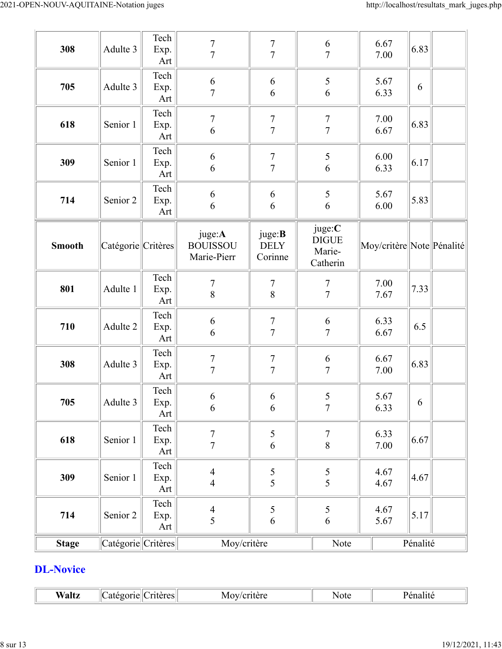| 308           | Adulte 3           | Tech<br>Exp.<br>Art | $\sqrt{ }$<br>$\overline{7}$             | $\boldsymbol{7}$<br>$\overline{7}$ | 6<br>$\overline{7}$                          | 6.67<br>7.00              | 6.83     |  |
|---------------|--------------------|---------------------|------------------------------------------|------------------------------------|----------------------------------------------|---------------------------|----------|--|
| 705           | Adulte 3           | Tech<br>Exp.<br>Art | $\sqrt{6}$<br>$\overline{7}$             | 6<br>6                             | 5<br>6                                       | 5.67<br>6.33              | 6        |  |
| 618           | Senior 1           | Tech<br>Exp.<br>Art | $\boldsymbol{7}$<br>6                    | $\boldsymbol{7}$<br>$\overline{7}$ | $\overline{7}$<br>$\overline{7}$             | 7.00<br>6.67              | 6.83     |  |
| 309           | Senior 1           | Tech<br>Exp.<br>Art | $\sqrt{6}$<br>6                          | $\boldsymbol{7}$<br>$\overline{7}$ | 5<br>6                                       | 6.00<br>6.33              | 6.17     |  |
| 714           | Senior 2           | Tech<br>Exp.<br>Art | $\sqrt{6}$<br>6                          | 6<br>6                             | 5<br>6                                       | 5.67<br>6.00              | 5.83     |  |
| <b>Smooth</b> | Catégorie Critères |                     | juge:A<br><b>BOUISSOU</b><br>Marie-Pierr | juge:B<br><b>DELY</b><br>Corinne   | juge:C<br><b>DIGUE</b><br>Marie-<br>Catherin | Moy/critère Note Pénalité |          |  |
| 801           | Adulte 1           | Tech<br>Exp.<br>Art | $\boldsymbol{7}$<br>8                    | $\boldsymbol{7}$<br>8              | $\overline{7}$<br>$\overline{7}$             | 7.00<br>7.67              | 7.33     |  |
| 710           | Adulte 2           | Tech<br>Exp.<br>Art | 6<br>6                                   | $\overline{7}$<br>$\overline{7}$   | 6<br>$\overline{7}$                          | 6.33<br>6.67              | 6.5      |  |
| 308           | Adulte 3           | Tech<br>Exp.<br>Art | $\sqrt{ }$<br>$\overline{7}$             | $\sqrt{ }$<br>$\overline{7}$       | 6<br>$\overline{7}$                          | 6.67<br>7.00              | 6.83     |  |
| 705           | Adulte 3           | Tech<br>Exp.<br>Art | 6<br>6                                   | 6<br>6                             | 5<br>$\overline{7}$                          | 5.67<br>6.33              | 6        |  |
| 618           | Senior 1           | Tech<br>Exp.<br>Art | $\boldsymbol{7}$<br>$\overline{7}$       | 5<br>$\sqrt{6}$                    | $\tau$<br>$\, 8$                             | 6.33<br>$7.00\,$          | 6.67     |  |
| 309           | Senior 1           | Tech<br>Exp.<br>Art | $\overline{4}$<br>$\overline{4}$         | $rac{5}{5}$                        | $\frac{5}{5}$                                | 4.67<br>4.67              | 4.67     |  |
| 714           | Senior 2           | Tech<br>Exp.<br>Art | $\frac{4}{5}$                            | 5<br>6                             | $\mathfrak s$<br>$\sqrt{6}$                  | 4.67<br>5.67              | 5.17     |  |
| <b>Stage</b>  | Catégorie Critères |                     | Moy/critère                              |                                    | Note                                         |                           | Pénalité |  |

### **DL-Novice**

 $\overline{\mathbb{L}}$ 

| w<br>K<br><u> </u><br>'aracı<br>$\sim$ 40 $\cdot$<br>ιvι<br>.21 I F<br>ا د ب<br>.<br>anc | Note |  |
|------------------------------------------------------------------------------------------|------|--|
|------------------------------------------------------------------------------------------|------|--|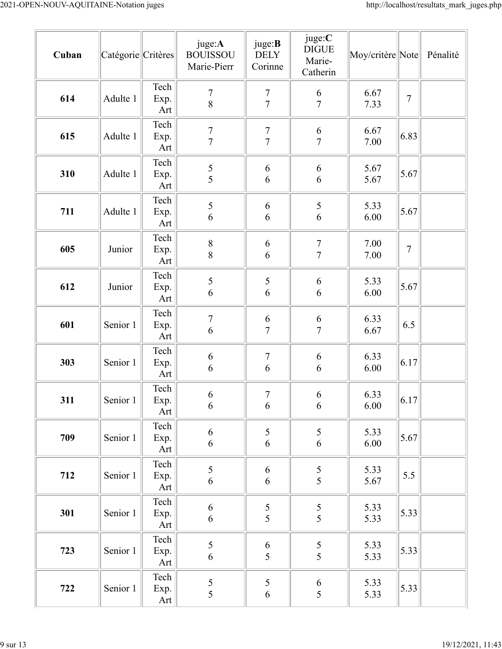| Cuban | Catégorie Critères |                     | juge:A<br><b>BOUISSOU</b><br>Marie-Pierr | juge: <b>B</b><br><b>DELY</b><br>Corinne | juge:C<br><b>DIGUE</b><br>Marie-<br>Catherin | Moy/critère Note |        | Pénalité |
|-------|--------------------|---------------------|------------------------------------------|------------------------------------------|----------------------------------------------|------------------|--------|----------|
| 614   | Adulte 1           | Tech<br>Exp.<br>Art | $\overline{7}$<br>8                      | $\frac{7}{7}$                            | $\boldsymbol{6}$<br>$\overline{7}$           | 6.67<br>7.33     | $\tau$ |          |
| 615   | Adulte 1           | Tech<br>Exp.<br>Art | $\overline{7}$<br>$\overline{7}$         | $\overline{7}$<br>$\overline{7}$         | $\boldsymbol{6}$<br>$\overline{7}$           | 6.67<br>7.00     | 6.83   |          |
| 310   | Adulte 1           | Tech<br>Exp.<br>Art | $rac{5}{5}$                              | 6<br>6                                   | 6<br>6                                       | 5.67<br>5.67     | 5.67   |          |
| 711   | Adulte 1           | Tech<br>Exp.<br>Art | 5<br>6                                   | 6<br>6                                   | $\sqrt{5}$<br>6                              | 5.33<br>6.00     | 5.67   |          |
| 605   | Junior             | Tech<br>Exp.<br>Art | $\,8\,$<br>8                             | 6<br>6                                   | $\overline{7}$<br>$\overline{7}$             | 7.00<br>7.00     | $\tau$ |          |
| 612   | Junior             | Tech<br>Exp.<br>Art | 5<br>6                                   | 5<br>6                                   | 6<br>6                                       | 5.33<br>6.00     | 5.67   |          |
| 601   | Senior 1           | Tech<br>Exp.<br>Art | $\sqrt{ }$<br>6                          | 6<br>$\overline{7}$                      | 6<br>$\overline{7}$                          | 6.33<br>6.67     | 6.5    |          |
| 303   | Senior 1           | Tech<br>Exp.<br>Art | 6<br>6                                   | $\boldsymbol{7}$<br>6                    | 6<br>6                                       | 6.33<br>6.00     | 6.17   |          |
| 311   | Senior 1           | Tech<br>Exp.<br>Art | 6<br>6                                   | $\tau$<br>6                              | 6<br>6                                       | 6.33<br>6.00     | 6.17   |          |
| 709   | Senior 1           | Tech<br>Exp.<br>Art | $\sqrt{6}$<br>$\boldsymbol{6}$           | 5<br>$\sqrt{6}$                          | 5<br>6                                       | 5.33<br>6.00     | 5.67   |          |
| 712   | Senior 1           | Tech<br>Exp.<br>Art | 5<br>6                                   | 6<br>$\sqrt{6}$                          | $\frac{5}{5}$                                | 5.33<br>5.67     | 5.5    |          |
| 301   | Senior 1           | Tech<br>Exp.<br>Art | $\sqrt{6}$<br>$\sqrt{6}$                 | $\frac{5}{5}$                            | $\frac{5}{5}$                                | 5.33<br>5.33     | 5.33   |          |
| 723   | Senior 1           | Tech<br>Exp.<br>Art | 5<br>$\boldsymbol{6}$                    | $\begin{array}{c} 6 \\ 5 \end{array}$    | $\frac{5}{5}$                                | 5.33<br>5.33     | 5.33   |          |
| 722   | Senior 1           | Tech<br>Exp.<br>Art | 5<br>$\overline{5}$                      | 5<br>6                                   | 6<br>5                                       | 5.33<br>5.33     | 5.33   |          |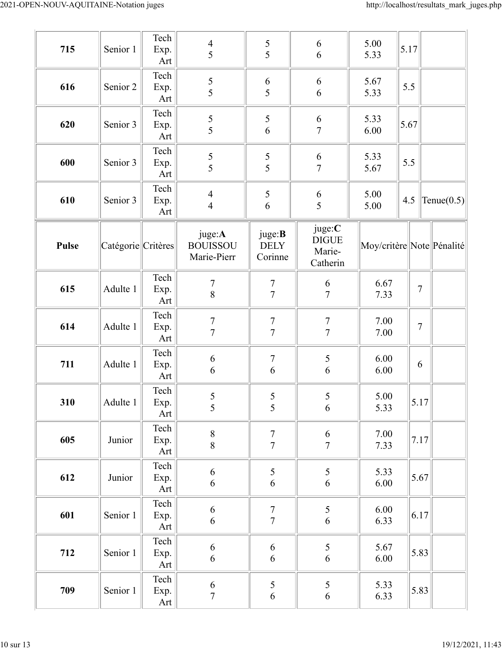| 715          | Senior 1           | Tech<br>Exp.<br>Art           | $\overline{4}$<br>5                      | 5<br>5                             | 6<br>6                                       | 5.00<br>5.33 | 5.17           |                           |
|--------------|--------------------|-------------------------------|------------------------------------------|------------------------------------|----------------------------------------------|--------------|----------------|---------------------------|
| 616          | Senior 2           | Tech<br>Exp.<br>Art           | 5<br>5                                   | 6<br>5                             | 6<br>6                                       | 5.67<br>5.33 | 5.5            |                           |
| 620          | Senior 3           | Tech<br>Exp.<br>Art           | $rac{5}{5}$                              | $\frac{5}{6}$                      | 6<br>$\overline{7}$                          | 5.33<br>6.00 | 5.67           |                           |
| 600          | Senior 3           | Tech<br>Exp.<br>Art           | $\frac{5}{5}$                            | $\frac{5}{5}$                      | 6<br>$\overline{7}$                          | 5.33<br>5.67 | 5.5            |                           |
| 610          | Senior 3           | Tech<br>Exp.<br>Art           | $\overline{4}$<br>$\overline{4}$         | 5<br>6                             | 6<br>5                                       | 5.00<br>5.00 | 4.5            | Tenue $(0.5)$             |
| <b>Pulse</b> | Catégorie Critères |                               | juge:A<br><b>BOUISSOU</b><br>Marie-Pierr | juge:B<br>DELY<br>Corinne          | juge:C<br><b>DIGUE</b><br>Marie-<br>Catherin |              |                | Moy/critère Note Pénalité |
| 615          | Adulte 1           | Tech<br>Exp.<br>Art           | $\boldsymbol{7}$<br>8                    | $\overline{7}$<br>$\overline{7}$   | 6<br>$\overline{7}$                          | 6.67<br>7.33 | $\overline{7}$ |                           |
| 614          | Adulte 1           | Tech<br>Exp.<br>Art           | $\overline{7}$<br>$\overline{7}$         | $\overline{7}$<br>$\overline{7}$   | $\overline{7}$<br>$\overline{7}$             | 7.00<br>7.00 | $\sqrt{ }$     |                           |
| 711          | Adulte 1           | Tech<br>Exp.<br>Art           | $\sqrt{6}$<br>6                          | $\boldsymbol{7}$<br>6              | 5<br>6                                       | 6.00<br>6.00 | 6              |                           |
| 310          | Adulte 1           | $\text{Techn}$<br>Exp.<br>Art | $\frac{5}{5}$                            | $\frac{5}{5}$                      | 5<br>6                                       | 5.00<br>5.33 | 5.17           |                           |
| 605          | Junior             | Tech<br>Exp.<br>Art           | $\,$ $\,$<br>8                           | $\frac{7}{7}$                      | $\frac{6}{7}$                                | 7.00<br>7.33 | 7.17           |                           |
| 612          | Junior             | Tech<br>Exp.<br>Art           | $\sqrt{6}$<br>6                          | 5<br>6                             | 5<br>$\sqrt{6}$                              | 5.33<br>6.00 | 5.67           |                           |
| 601          | Senior 1           | Tech<br>Exp.<br>Art           | $\boldsymbol{6}$<br>6                    | $\boldsymbol{7}$<br>$\overline{7}$ | 5<br>$\sqrt{6}$                              | 6.00<br>6.33 | 6.17           |                           |
| 712          | Senior 1           | Tech<br>Exp.<br>Art           | $\sqrt{6}$<br>6                          | 6<br>6                             | 5<br>6                                       | 5.67<br>6.00 | 5.83           |                           |
| 709          | Senior 1           | Tech<br>Exp.<br>Art           | $\boldsymbol{6}$<br>$\boldsymbol{7}$     | 5<br>6                             | 5<br>$\sqrt{6}$                              | 5.33<br>6.33 | 5.83           |                           |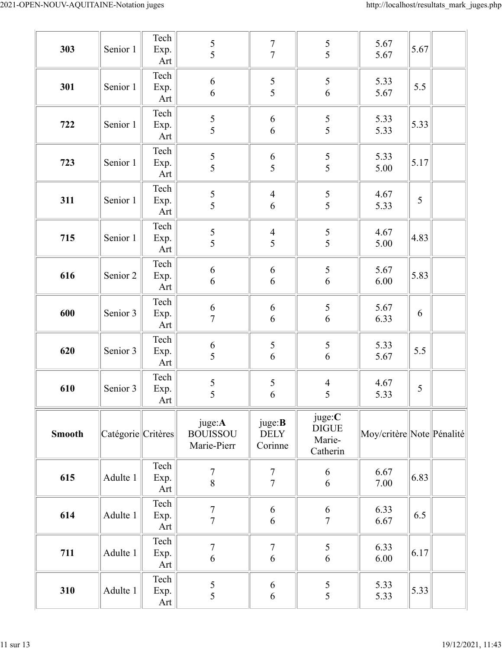| 303           | Senior 1           | Tech<br>Exp.<br>Art | 5<br>5                                   | $\sqrt{ }$<br>$\overline{7}$             | $rac{5}{5}$                                  | 5.67<br>5.67              | 5.67 |  |
|---------------|--------------------|---------------------|------------------------------------------|------------------------------------------|----------------------------------------------|---------------------------|------|--|
| 301           | Senior 1           | Tech<br>Exp.<br>Art | $\sqrt{6}$<br>6                          | $\frac{5}{5}$                            | $\frac{5}{6}$                                | 5.33<br>5.67              | 5.5  |  |
| 722           | Senior 1           | Tech<br>Exp.<br>Art | $\frac{5}{5}$                            | 6<br>6                                   | $\frac{5}{5}$                                | 5.33<br>5.33              | 5.33 |  |
| 723           | Senior 1           | Tech<br>Exp.<br>Art | 5<br>5                                   | 6<br>5                                   | 5<br>5                                       | 5.33<br>5.00              | 5.17 |  |
| 311           | Senior 1           | Tech<br>Exp.<br>Art | $\frac{5}{5}$                            | $\overline{\mathcal{A}}$<br>6            | $\frac{5}{5}$                                | 4.67<br>5.33              | 5    |  |
| 715           | Senior 1           | Tech<br>Exp.<br>Art | $\frac{5}{5}$                            | $\overline{4}$<br>5                      | $\frac{5}{5}$                                | 4.67<br>5.00              | 4.83 |  |
| 616           | Senior 2           | Tech<br>Exp.<br>Art | $\sqrt{6}$<br>$\sqrt{6}$                 | 6<br>6                                   | 5<br>$\sqrt{6}$                              | 5.67<br>$6.00\,$          | 5.83 |  |
| 600           | Senior 3           | Tech<br>Exp.<br>Art | $\frac{6}{7}$                            | 6<br>6                                   | $\frac{5}{6}$                                | 5.67<br>6.33              | 6    |  |
| 620           | Senior 3           | Tech<br>Exp.<br>Art | $\sqrt{6}$<br>5                          | 5<br>$\overline{6}$                      | 5<br>6                                       | 5.33<br>5.67              | 5.5  |  |
| 610           | Senior 3           | Tech<br>Exp.<br>Art | 5<br>5                                   | 5<br>6                                   | $\overline{4}$<br>5                          | 4.67<br>5.33              | 5    |  |
| <b>Smooth</b> | Catégorie Critères |                     | juge:A<br><b>BOUISSOU</b><br>Marie-Pierr | juge: <b>B</b><br><b>DELY</b><br>Corinne | juge:C<br><b>DIGUE</b><br>Marie-<br>Catherin | Moy/critère Note Pénalité |      |  |
| 615           | Adulte 1           | Tech<br>Exp.<br>Art | $\boldsymbol{7}$<br>8                    | $\boldsymbol{7}$<br>$\overline{7}$       | 6<br>6                                       | 6.67<br>7.00              | 6.83 |  |
| 614           | Adulte 1           | Tech<br>Exp.<br>Art | $\boldsymbol{7}$<br>$\overline{7}$       | 6<br>6                                   | 6<br>$\overline{7}$                          | 6.33<br>6.67              | 6.5  |  |
| 711           | Adulte 1           | Tech<br>Exp.<br>Art | $\overline{7}$<br>$\sqrt{6}$             | $\boldsymbol{7}$<br>6                    | 5<br>6                                       | 6.33<br>$6.00\,$          | 6.17 |  |
| 310           | Adulte 1           | Tech<br>Exp.<br>Art | $\mathfrak s$<br>5                       | 6<br>6                                   | 5<br>5                                       | 5.33<br>5.33              | 5.33 |  |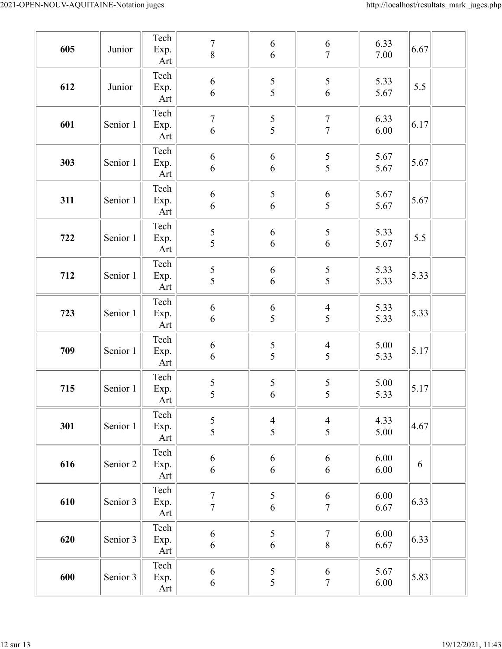| 605 | Junior   | Tech<br>Exp.<br>Art | $\sqrt{ }$<br>$\boldsymbol{8}$       | 6<br>6                      | $\frac{6}{7}$                      | 6.33<br>$7.00\,$     | 6.67 |
|-----|----------|---------------------|--------------------------------------|-----------------------------|------------------------------------|----------------------|------|
| 612 | Junior   | Tech<br>Exp.<br>Art | $\sqrt{6}$<br>$\boldsymbol{6}$       | 5<br>5                      | 5<br>$\sqrt{6}$                    | 5.33<br>5.67         | 5.5  |
| 601 | Senior 1 | Tech<br>Exp.<br>Art | $\boldsymbol{7}$<br>$\boldsymbol{6}$ | $rac{5}{5}$                 | $\boldsymbol{7}$<br>$\overline{7}$ | 6.33<br>6.00         | 6.17 |
| 303 | Senior 1 | Tech<br>Exp.<br>Art | $\boldsymbol{6}$<br>6                | 6<br>6                      | $rac{5}{5}$                        | 5.67<br>5.67         | 5.67 |
| 311 | Senior 1 | Tech<br>Exp.<br>Art | $\sqrt{6}$<br>$\boldsymbol{6}$       | $\mathfrak s$<br>6          | $\boldsymbol{6}$<br>5              | 5.67<br>5.67         | 5.67 |
| 722 | Senior 1 | Tech<br>Exp.<br>Art | 5<br>5                               | 6<br>$\sqrt{6}$             | 5<br>$\sqrt{6}$                    | 5.33<br>5.67         | 5.5  |
| 712 | Senior 1 | Tech<br>Exp.<br>Art | $rac{5}{5}$                          | 6<br>6                      | $rac{5}{5}$                        | 5.33<br>5.33         | 5.33 |
| 723 | Senior 1 | Tech<br>Exp.<br>Art | $\sqrt{6}$<br>$\boldsymbol{6}$       | 6<br>5                      | $\overline{\mathcal{A}}$<br>5      | 5.33<br>5.33         | 5.33 |
| 709 | Senior 1 | Tech<br>Exp.<br>Art | $\boldsymbol{6}$<br>6                | $\frac{5}{5}$               | $\overline{\mathcal{A}}$<br>5      | 5.00<br>5.33         | 5.17 |
| 715 | Senior 1 | Tech<br>Exp.<br>Art | $\frac{5}{5}$                        | $\frac{5}{6}$               | $rac{5}{5}$                        | 5.00<br>5.33         | 5.17 |
| 301 | Senior 1 | Tech<br>Exp.<br>Art | 5<br>5                               | $\overline{4}$<br>5         | $\overline{4}$<br>5                | 4.33<br>5.00         | 4.67 |
| 616 | Senior 2 | Tech<br>Exp.<br>Art | $\boldsymbol{6}$<br>6                | 6<br>6                      | 6<br>6                             | $6.00\,$<br>$6.00\,$ | 6    |
| 610 | Senior 3 | Tech<br>Exp.<br>Art | $\overline{7}$<br>$\overline{7}$     | $\frac{5}{6}$               | $\frac{6}{7}$                      | $6.00\,$<br>6.67     | 6.33 |
| 620 | Senior 3 | Tech<br>Exp.<br>Art | $\sqrt{6}$<br>6                      | $\mathfrak s$<br>$\sqrt{6}$ | $\boldsymbol{7}$<br>$\,8\,$        | $6.00\,$<br>6.67     | 6.33 |
| 600 | Senior 3 | Tech<br>Exp.<br>Art | $\boldsymbol{6}$<br>$\boldsymbol{6}$ | $\frac{5}{5}$               | 6<br>$\sqrt{ }$                    | 5.67<br>$6.00\,$     | 5.83 |